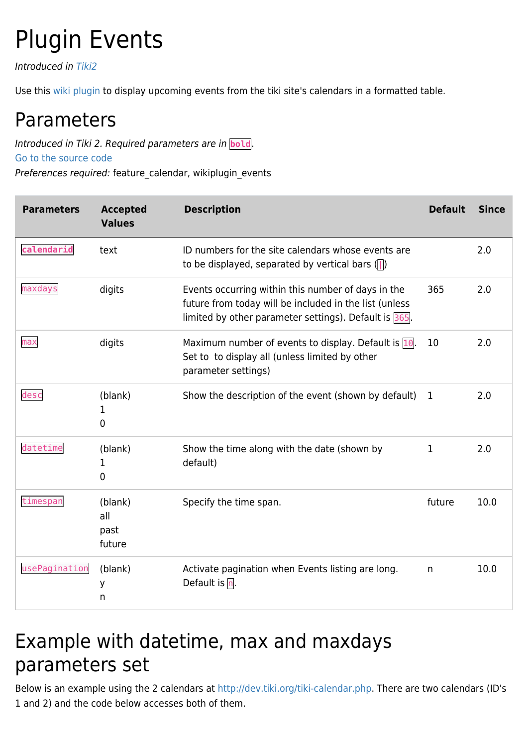## Plugin Events

Introduced in [Tiki2](https://doc.tiki.org/Tiki2)

Use this [wiki plugin](https://doc.tiki.org/wiki%20plugin) to display upcoming events from the tiki site's calendars in a formatted table.

## Parameters

Introduced in Tiki 2. Required parameters are in **bold**.

[Go to the source code](https://gitlab.com/tikiwiki/tiki/-/blob/master/lib/wiki-plugins/wikiplugin_events.php)

Preferences required: feature\_calendar, wikiplugin\_events

| <b>Parameters</b> | <b>Accepted</b><br><b>Values</b> | <b>Description</b>                                                                                                                                                       | <b>Default</b> | <b>Since</b> |
|-------------------|----------------------------------|--------------------------------------------------------------------------------------------------------------------------------------------------------------------------|----------------|--------------|
| calendarid        | text                             | ID numbers for the site calendars whose events are<br>to be displayed, separated by vertical bars $($ $)$                                                                |                | 2.0          |
| maxdays           | digits                           | Events occurring within this number of days in the<br>future from today will be included in the list (unless<br>limited by other parameter settings). Default is $365$ . | 365            | 2.0          |
| max               | digits                           | Maximum number of events to display. Default is 10.<br>Set to to display all (unless limited by other<br>parameter settings)                                             | 10             | 2.0          |
| desc              | (blank)<br>1<br>0                | Show the description of the event (shown by default)                                                                                                                     | $\mathbf 1$    | 2.0          |
| datetime          | (blank)<br>1<br>0                | Show the time along with the date (shown by<br>default)                                                                                                                  | $\mathbf{1}$   | 2.0          |
| timespan          | (blank)<br>all<br>past<br>future | Specify the time span.                                                                                                                                                   | future         | 10.0         |
| usePagination     | (blank)<br>У<br>n                | Activate pagination when Events listing are long.<br>Default is $\overline{\mathsf{n}}$ .                                                                                | n              | 10.0         |

## Example with datetime, max and maxdays parameters set

Below is an example using the 2 calendars at [http://dev.tiki.org/tiki-calendar.php.](http://dev.tiki.org/tiki-calendar.php) There are two calendars (ID's 1 and 2) and the code below accesses both of them.